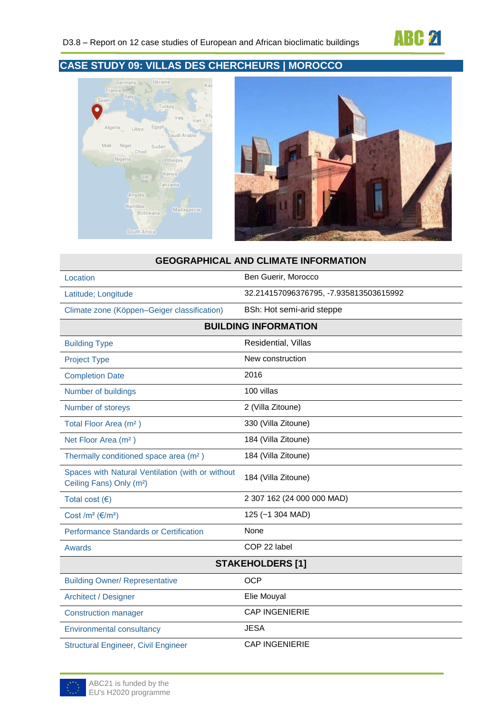





## **GEOGRAPHICAL AND CLIMATE INFORMATION**

| Location                                                                                 | Ben Guerir, Morocco                    |  |
|------------------------------------------------------------------------------------------|----------------------------------------|--|
| Latitude; Longitude                                                                      | 32.214157096376795, -7.935813503615992 |  |
| Climate zone (Köppen-Geiger classification)                                              | BSh: Hot semi-arid steppe              |  |
| <b>BUILDING INFORMATION</b>                                                              |                                        |  |
| <b>Building Type</b>                                                                     | Residential, Villas                    |  |
| <b>Project Type</b>                                                                      | New construction                       |  |
| <b>Completion Date</b>                                                                   | 2016                                   |  |
| Number of buildings                                                                      | 100 villas                             |  |
| Number of storeys                                                                        | 2 (Villa Zitoune)                      |  |
| Total Floor Area (m <sup>2</sup> )                                                       | 330 (Villa Zitoune)                    |  |
| Net Floor Area (m <sup>2</sup> )                                                         | 184 (Villa Zitoune)                    |  |
| Thermally conditioned space area (m <sup>2</sup> )                                       | 184 (Villa Zitoune)                    |  |
| Spaces with Natural Ventilation (with or without<br>Ceiling Fans) Only (m <sup>2</sup> ) | 184 (Villa Zitoune)                    |  |
| Total cost $(€)$                                                                         | 2 307 162 (24 000 000 MAD)             |  |
| Cost /m <sup>2</sup> ( $\varepsilon$ /m <sup>2</sup> )                                   | 125 (~1 304 MAD)                       |  |
| <b>Performance Standards or Certification</b>                                            | None                                   |  |
| Awards                                                                                   | COP 22 label                           |  |
| <b>STAKEHOLDERS [1]</b>                                                                  |                                        |  |
| <b>Building Owner/ Representative</b>                                                    | <b>OCP</b>                             |  |
| Architect / Designer                                                                     | Elie Mouyal                            |  |
| <b>Construction manager</b>                                                              | <b>CAP INGENIERIE</b>                  |  |
| <b>Environmental consultancy</b>                                                         | <b>JESA</b>                            |  |
| <b>Structural Engineer, Civil Engineer</b>                                               | <b>CAP INGENIERIE</b>                  |  |

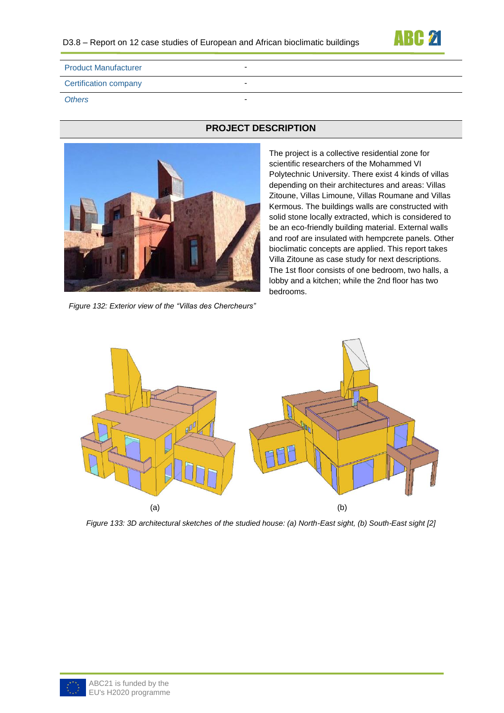

| <b>Product Manufacturer</b>  | - |
|------------------------------|---|
| <b>Certification company</b> | - |
| <b>Others</b>                | - |



*Figure 132: Exterior view of the "Villas des Chercheurs"*

# **PROJECT DESCRIPTION**

The project is a collective residential zone for scientific researchers of the Mohammed VI Polytechnic University. There exist 4 kinds of villas depending on their architectures and areas: Villas Zitoune, Villas Limoune, Villas Roumane and Villas Kermous. The buildings walls are constructed with solid stone locally extracted, which is considered to be an eco-friendly building material. External walls and roof are insulated with hempcrete panels. Other bioclimatic concepts are applied. This report takes Villa Zitoune as case study for next descriptions. The 1st floor consists of one bedroom, two halls, a lobby and a kitchen; while the 2nd floor has two bedrooms.



*Figure 133: 3D architectural sketches of the studied house: (a) North-East sight, (b) South-East sight [2]*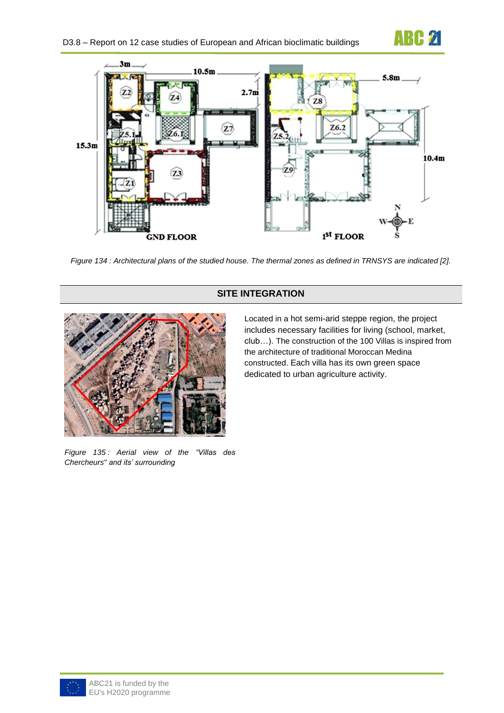



*Figure 134 : Architectural plans of the studied house. The thermal zones as defined in TRNSYS are indicated [2].*

# **SITE INTEGRATION**



*Figure 135 : Aerial view of the "Villas des Chercheurs" and its' surrounding*

Located in a hot semi-arid steppe region, the project includes necessary facilities for living (school, market, club…). The construction of the 100 Villas is inspired from the architecture of traditional Moroccan Medina constructed. Each villa has its own green space dedicated to urban agriculture activity.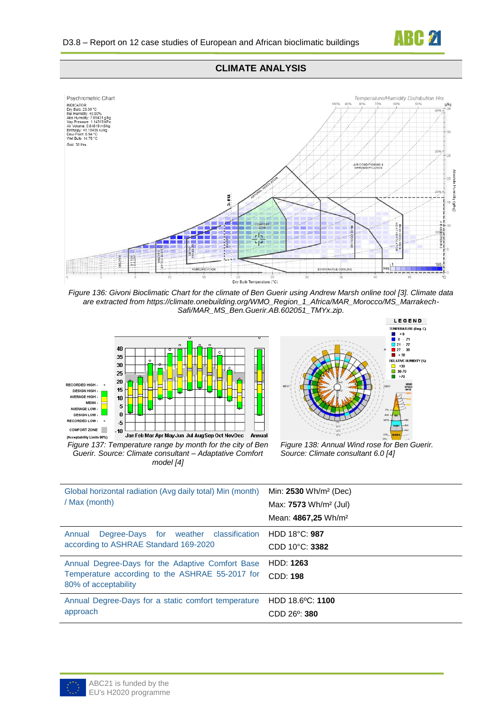

### **CLIMATE ANALYSIS**



*Figure 136: Givoni Bioclimatic Chart for the climate of Ben Guerir using Andrew Marsh online tool [3]. Climate data are extracted from https://climate.onebuilding.org/WMO\_Region\_1\_Africa/MAR\_Morocco/MS\_Marrakech-Safi/MAR\_MS\_Ben.Guerir.AB.602051\_TMYx.zip.*



*Guerir. Source: Climate consultant – Adaptative Comfort model [4]*



*Figure 138: Annual Wind rose for Ben Guerir. Source: Climate consultant 6.0 [4]*

| Global horizontal radiation (Avg daily total) Min (month)      | Min: $2530 \text{ Wh/m}^2$ (Dec)         |
|----------------------------------------------------------------|------------------------------------------|
| / Max (month)                                                  | Max: <b>7573</b> Wh/m <sup>2</sup> (Jul) |
|                                                                | Mean: 4867,25 Wh/m <sup>2</sup>          |
| Degree-Days for weather classification HDD 18°C: 987<br>Annual |                                          |
| according to ASHRAE Standard 169-2020                          | CDD 10°C: 3382                           |
| Annual Degree-Days for the Adaptive Comfort Base               | <b>HDD: 1263</b>                         |
| Temperature according to the ASHRAE 55-2017 for                | <b>CDD: 198</b>                          |
| 80% of acceptability                                           |                                          |
| Annual Degree-Days for a static comfort temperature            | HDD 18.6°C: 1100                         |
| approach                                                       | $CDD$ 26 <sup>o</sup> : 380              |
|                                                                |                                          |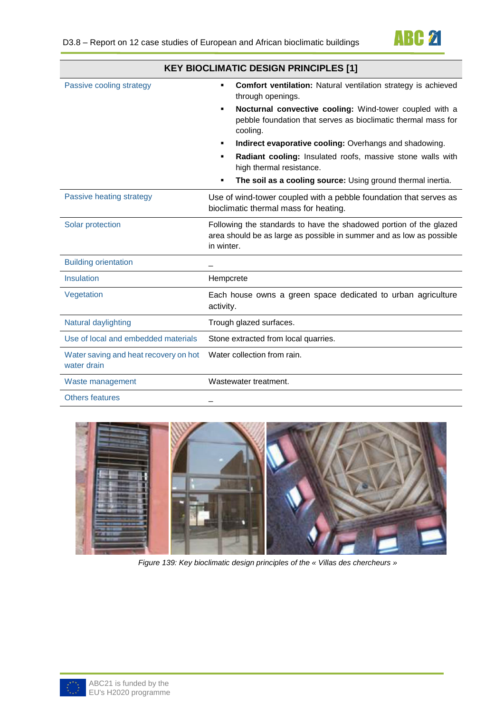

|                                                      | <b>KEY BIOCLIMATIC DESIGN PRINCIPLES [1]</b>                                                                                                             |
|------------------------------------------------------|----------------------------------------------------------------------------------------------------------------------------------------------------------|
| Passive cooling strategy                             | <b>Comfort ventilation:</b> Natural ventilation strategy is achieved<br>٠<br>through openings.                                                           |
|                                                      | Nocturnal convective cooling: Wind-tower coupled with a<br>٠<br>pebble foundation that serves as bioclimatic thermal mass for<br>cooling.                |
|                                                      | Indirect evaporative cooling: Overhangs and shadowing.<br>٠                                                                                              |
|                                                      | Radiant cooling: Insulated roofs, massive stone walls with<br>٠<br>high thermal resistance.                                                              |
|                                                      | The soil as a cooling source: Using ground thermal inertia.<br>٠                                                                                         |
| Passive heating strategy                             | Use of wind-tower coupled with a pebble foundation that serves as<br>bioclimatic thermal mass for heating.                                               |
| Solar protection                                     | Following the standards to have the shadowed portion of the glazed<br>area should be as large as possible in summer and as low as possible<br>in winter. |
| <b>Building orientation</b>                          |                                                                                                                                                          |
| Insulation                                           | Hempcrete                                                                                                                                                |
| Vegetation                                           | Each house owns a green space dedicated to urban agriculture<br>activity.                                                                                |
| Natural daylighting                                  | Trough glazed surfaces.                                                                                                                                  |
| Use of local and embedded materials                  | Stone extracted from local quarries.                                                                                                                     |
| Water saving and heat recovery on hot<br>water drain | Water collection from rain.                                                                                                                              |
| Waste management                                     | Wastewater treatment.                                                                                                                                    |
| <b>Others features</b>                               |                                                                                                                                                          |



*Figure 139: Key bioclimatic design principles of the « Villas des chercheurs »*

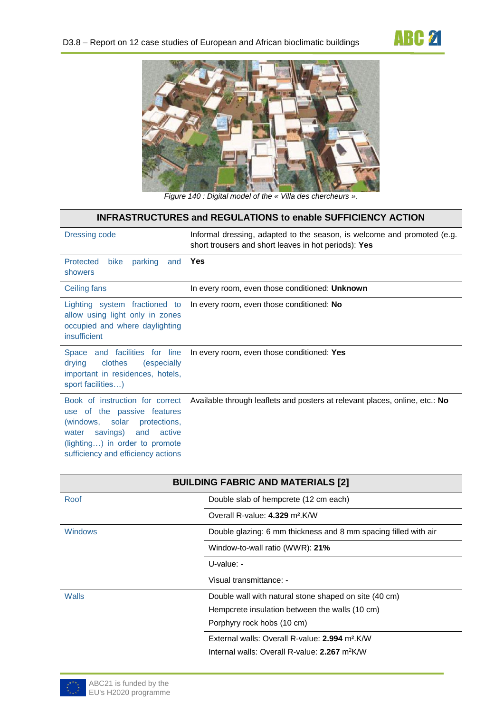



*Figure 140 : Digital model of the « Villa des chercheurs ».*

| <b>INFRASTRUCTURES and REGULATIONS to enable SUFFICIENCY ACTION</b>                                                                                                                                       |                                                                                                                                 |  |
|-----------------------------------------------------------------------------------------------------------------------------------------------------------------------------------------------------------|---------------------------------------------------------------------------------------------------------------------------------|--|
| Dressing code                                                                                                                                                                                             | Informal dressing, adapted to the season, is welcome and promoted (e.g.<br>short trousers and short leaves in hot periods): Yes |  |
| Protected<br>parking<br>bike<br>and<br>showers                                                                                                                                                            | Yes                                                                                                                             |  |
| Ceiling fans                                                                                                                                                                                              | In every room, even those conditioned: Unknown                                                                                  |  |
| Lighting system fractioned to<br>allow using light only in zones<br>occupied and where daylighting<br>insufficient                                                                                        | In every room, even those conditioned: No                                                                                       |  |
| Space and facilities for line<br>clothes<br>(especially<br>drying<br>important in residences, hotels,<br>sport facilities)                                                                                | In every room, even those conditioned: Yes                                                                                      |  |
| Book of instruction for correct<br>use of the passive features<br>(windows, solar protections,<br>savings) and<br>active<br>water<br>(lighting) in order to promote<br>sufficiency and efficiency actions | Available through leaflets and posters at relevant places, online, etc.: No                                                     |  |

| <b>BUILDING FABRIC AND MATERIALS [2]</b> |                                                                 |  |  |
|------------------------------------------|-----------------------------------------------------------------|--|--|
| Roof                                     | Double slab of hempcrete (12 cm each)                           |  |  |
|                                          | Overall R-value: 4.329 m <sup>2</sup> .K/W                      |  |  |
| <b>Windows</b>                           | Double glazing: 6 mm thickness and 8 mm spacing filled with air |  |  |
|                                          | Window-to-wall ratio (WWR): 21%                                 |  |  |
|                                          | $U$ -value: -                                                   |  |  |
|                                          | Visual transmittance: -                                         |  |  |
| Walls                                    | Double wall with natural stone shaped on site (40 cm)           |  |  |
|                                          | Hempcrete insulation between the walls (10 cm)                  |  |  |
|                                          | Porphyry rock hobs (10 cm)                                      |  |  |
|                                          | External walls: Overall R-value: 2.994 m <sup>2</sup> .K/W      |  |  |
|                                          | Internal walls: Overall R-value: 2.267 m <sup>2</sup> K/W       |  |  |

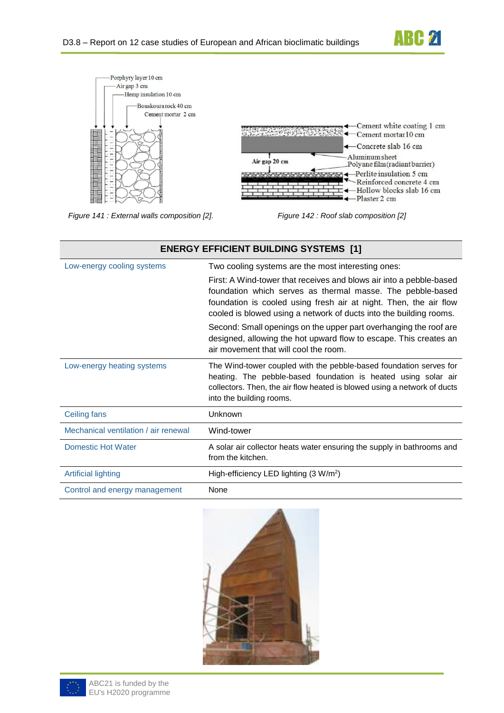



*Figure 141 : External walls composition [2]. Figure 142 : Roof slab composition [2]*

| <b>ENERGY EFFICIENT BUILDING SYSTEMS [1]</b> |                                                                                                                                                                                                                                                                              |  |
|----------------------------------------------|------------------------------------------------------------------------------------------------------------------------------------------------------------------------------------------------------------------------------------------------------------------------------|--|
| Low-energy cooling systems                   | Two cooling systems are the most interesting ones:                                                                                                                                                                                                                           |  |
|                                              | First: A Wind-tower that receives and blows air into a pebble-based<br>foundation which serves as thermal masse. The pebble-based<br>foundation is cooled using fresh air at night. Then, the air flow<br>cooled is blowed using a network of ducts into the building rooms. |  |
|                                              | Second: Small openings on the upper part overhanging the roof are<br>designed, allowing the hot upward flow to escape. This creates an<br>air movement that will cool the room.                                                                                              |  |
| Low-energy heating systems                   | The Wind-tower coupled with the pebble-based foundation serves for<br>heating. The pebble-based foundation is heated using solar air<br>collectors. Then, the air flow heated is blowed using a network of ducts<br>into the building rooms.                                 |  |
| Ceiling fans                                 | Unknown                                                                                                                                                                                                                                                                      |  |
| Mechanical ventilation / air renewal         | Wind-tower                                                                                                                                                                                                                                                                   |  |
| Domestic Hot Water                           | A solar air collector heats water ensuring the supply in bathrooms and<br>from the kitchen.                                                                                                                                                                                  |  |
| <b>Artificial lighting</b>                   | High-efficiency LED lighting $(3 \text{ W/m}^2)$                                                                                                                                                                                                                             |  |
| Control and energy management                | None                                                                                                                                                                                                                                                                         |  |



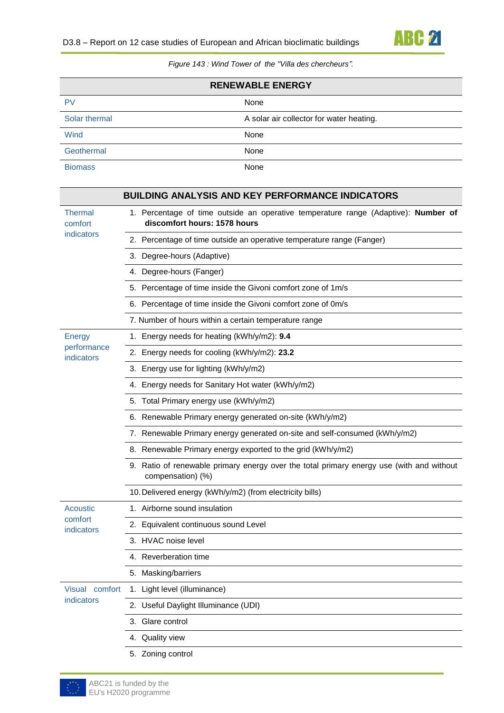

*Figure 143 : Wind Tower of the ''Villa des chercheurs".*

| <b>RENEWABLE ENERGY</b> |                                          |
|-------------------------|------------------------------------------|
| PV                      | None                                     |
| Solar thermal           | A solar air collector for water heating. |
| Wind                    | None                                     |
| Geothermal              | None                                     |
| <b>Biomass</b>          | None                                     |

|                           | <b>BUILDING ANALYSIS AND KEY PERFORMANCE INDICATORS</b>                                                            |
|---------------------------|--------------------------------------------------------------------------------------------------------------------|
| <b>Thermal</b><br>comfort | 1. Percentage of time outside an operative temperature range (Adaptive): Number of<br>discomfort hours: 1578 hours |
| indicators                | 2. Percentage of time outside an operative temperature range (Fanger)                                              |
|                           | 3. Degree-hours (Adaptive)                                                                                         |
|                           | 4. Degree-hours (Fanger)                                                                                           |
|                           | 5. Percentage of time inside the Givoni comfort zone of 1m/s                                                       |
|                           | 6. Percentage of time inside the Givoni comfort zone of 0m/s                                                       |
|                           | 7. Number of hours within a certain temperature range                                                              |
| <b>Energy</b>             | 1. Energy needs for heating (kWh/y/m2): 9.4                                                                        |
| performance<br>indicators | 2. Energy needs for cooling (kWh/y/m2): 23.2                                                                       |
|                           | 3. Energy use for lighting (kWh/y/m2)                                                                              |
|                           | 4. Energy needs for Sanitary Hot water (kWh/y/m2)                                                                  |
|                           | 5. Total Primary energy use (kWh/y/m2)                                                                             |
|                           | 6. Renewable Primary energy generated on-site (kWh/y/m2)                                                           |
|                           | 7. Renewable Primary energy generated on-site and self-consumed (kWh/y/m2)                                         |
|                           | 8. Renewable Primary energy exported to the grid (kWh/y/m2)                                                        |
|                           | 9. Ratio of renewable primary energy over the total primary energy use (with and without<br>compensation) (%)      |
|                           | 10. Delivered energy (kWh/y/m2) (from electricity bills)                                                           |
| Acoustic                  | 1. Airborne sound insulation                                                                                       |
| comfort<br>indicators     | 2. Equivalent continuous sound Level                                                                               |
|                           | 3. HVAC noise level                                                                                                |
|                           | 4. Reverberation time                                                                                              |
|                           | 5. Masking/barriers                                                                                                |
| <b>Visual</b><br>comfort  | 1. Light level (illuminance)                                                                                       |
| indicators                | 2. Useful Daylight Illuminance (UDI)                                                                               |
|                           | 3. Glare control                                                                                                   |
|                           | 4. Quality view                                                                                                    |
|                           | 5. Zoning control                                                                                                  |